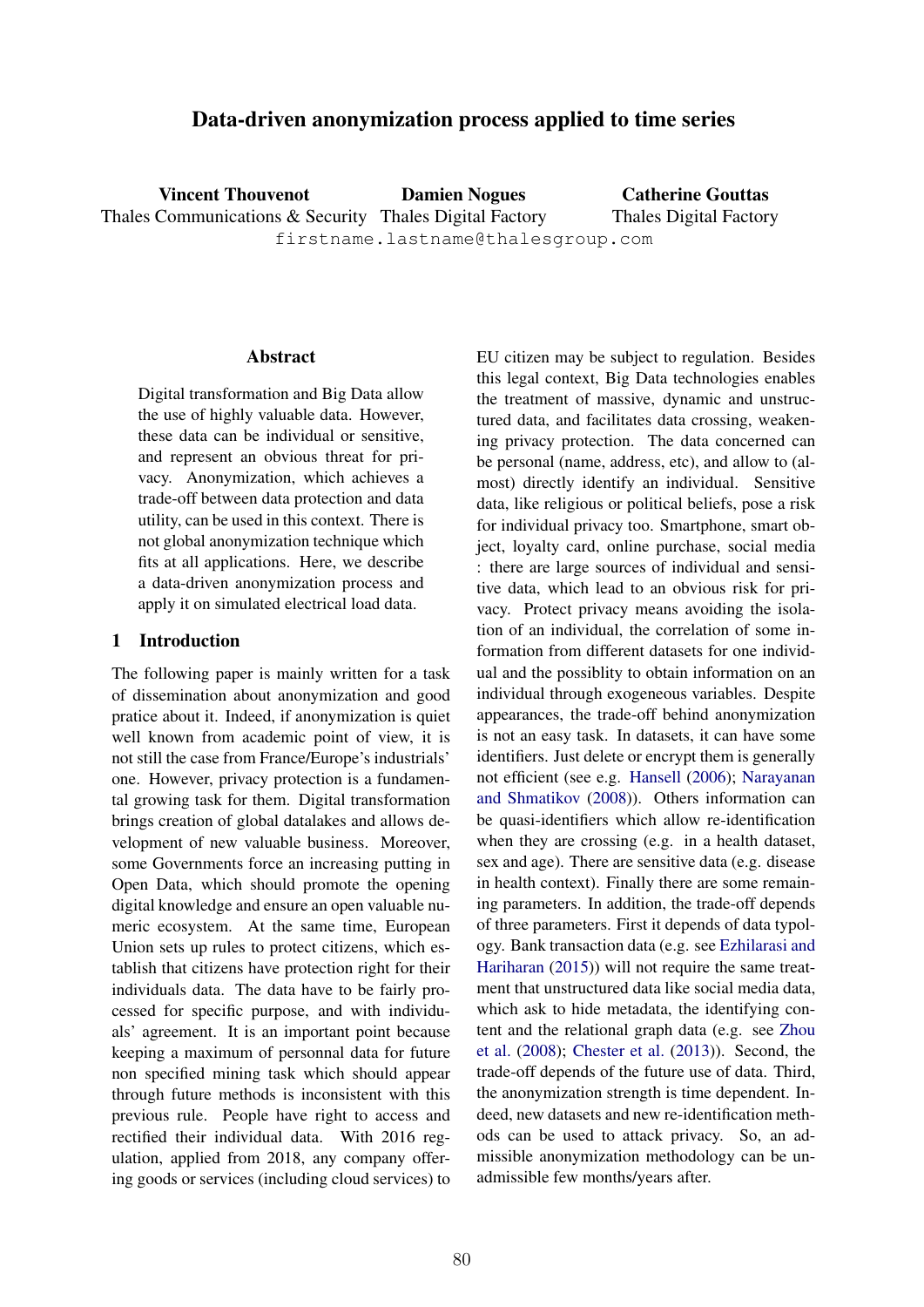# Data-driven anonymization process applied to time series

Vincent Thouvenot Thales Communications & Security Thales Digital Factory Damien Nogues firstname.lastname@thalesgroup.com Catherine Gouttas Thales Digital Factory

## **Abstract**

Digital transformation and Big Data allow the use of highly valuable data. However, these data can be individual or sensitive, and represent an obvious threat for privacy. Anonymization, which achieves a trade-off between data protection and data utility, can be used in this context. There is not global anonymization technique which fits at all applications. Here, we describe a data-driven anonymization process and apply it on simulated electrical load data.

## 1 Introduction

The following paper is mainly written for a task of dissemination about anonymization and good pratice about it. Indeed, if anonymization is quiet well known from academic point of view, it is not still the case from France/Europe's industrials' one. However, privacy protection is a fundamental growing task for them. Digital transformation brings creation of global datalakes and allows development of new valuable business. Moreover, some Governments force an increasing putting in Open Data, which should promote the opening digital knowledge and ensure an open valuable numeric ecosystem. At the same time, European Union sets up rules to protect citizens, which establish that citizens have protection right for their individuals data. The data have to be fairly processed for specific purpose, and with individuals' agreement. It is an important point because keeping a maximum of personnal data for future non specified mining task which should appear through future methods is inconsistent with this previous rule. People have right to access and rectified their individual data. With 2016 regulation, applied from 2018, any company offering goods or services (including cloud services) to

EU citizen may be subject to regulation. Besides this legal context, Big Data technologies enables the treatment of massive, dynamic and unstructured data, and facilitates data crossing, weakening privacy protection. The data concerned can be personal (name, address, etc), and allow to (almost) directly identify an individual. Sensitive data, like religious or political beliefs, pose a risk for individual privacy too. Smartphone, smart object, loyalty card, online purchase, social media : there are large sources of individual and sensitive data, which lead to an obvious risk for privacy. Protect privacy means avoiding the isolation of an individual, the correlation of some information from different datasets for one individual and the possiblity to obtain information on an individual through exogeneous variables. Despite appearances, the trade-off behind anonymization is not an easy task. In datasets, it can have some identifiers. Just delete or encrypt them is generally not efficient (see e.g. Hansell (2006); Narayanan and Shmatikov (2008)). Others information can be quasi-identifiers which allow re-identification when they are crossing (e.g. in a health dataset, sex and age). There are sensitive data (e.g. disease in health context). Finally there are some remaining parameters. In addition, the trade-off depends of three parameters. First it depends of data typology. Bank transaction data (e.g. see Ezhilarasi and Hariharan (2015)) will not require the same treatment that unstructured data like social media data, which ask to hide metadata, the identifying content and the relational graph data (e.g. see Zhou et al. (2008); Chester et al. (2013)). Second, the trade-off depends of the future use of data. Third, the anonymization strength is time dependent. Indeed, new datasets and new re-identification methods can be used to attack privacy. So, an admissible anonymization methodology can be unadmissible few months/years after.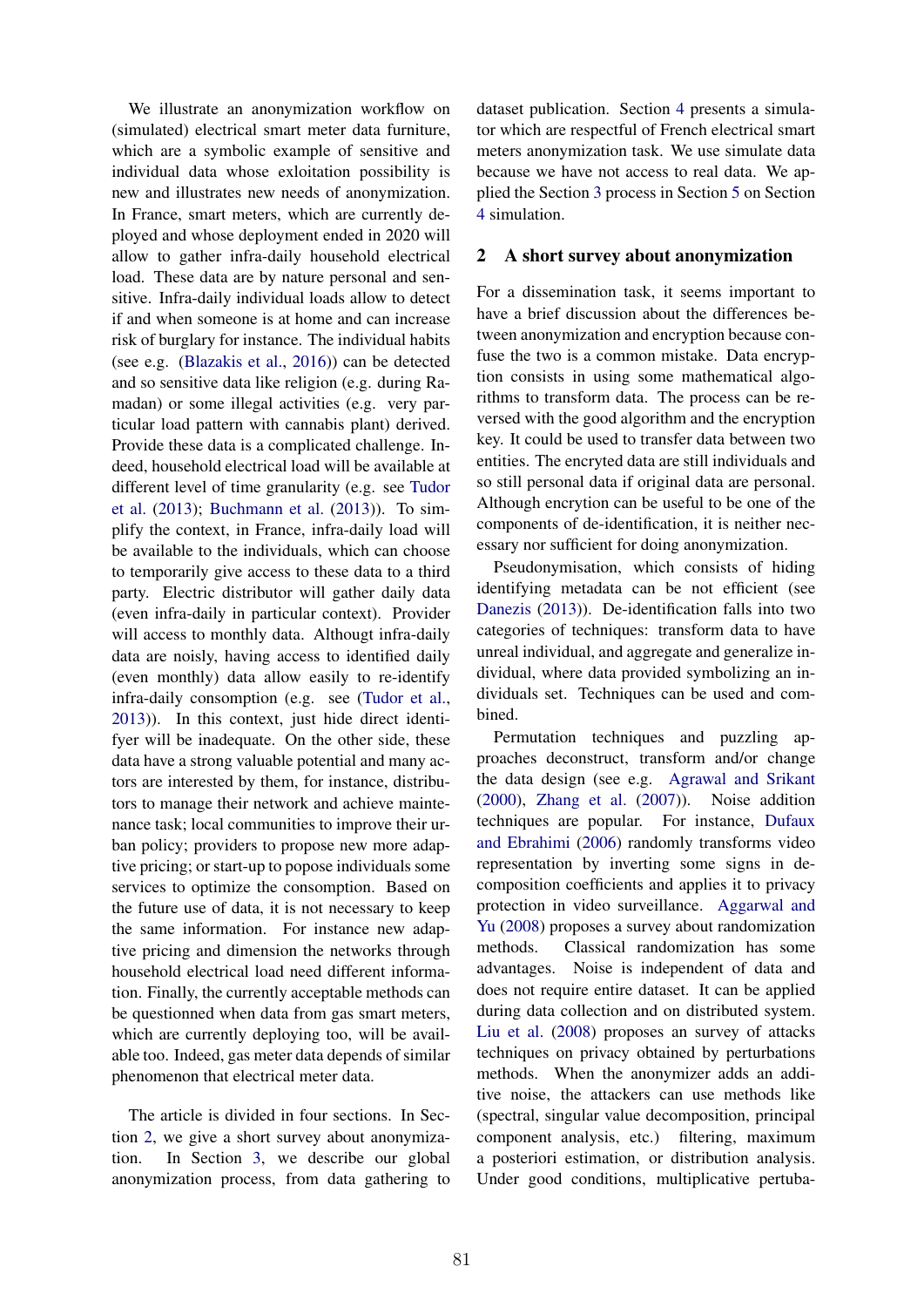We illustrate an anonymization workflow on (simulated) electrical smart meter data furniture, which are a symbolic example of sensitive and individual data whose exloitation possibility is new and illustrates new needs of anonymization. In France, smart meters, which are currently deployed and whose deployment ended in 2020 will allow to gather infra-daily household electrical load. These data are by nature personal and sensitive. Infra-daily individual loads allow to detect if and when someone is at home and can increase risk of burglary for instance. The individual habits (see e.g. (Blazakis et al., 2016)) can be detected and so sensitive data like religion (e.g. during Ramadan) or some illegal activities (e.g. very particular load pattern with cannabis plant) derived. Provide these data is a complicated challenge. Indeed, household electrical load will be available at different level of time granularity (e.g. see Tudor et al. (2013); Buchmann et al. (2013)). To simplify the context, in France, infra-daily load will be available to the individuals, which can choose to temporarily give access to these data to a third party. Electric distributor will gather daily data (even infra-daily in particular context). Provider will access to monthly data. Althougt infra-daily data are noisly, having access to identified daily (even monthly) data allow easily to re-identify infra-daily consomption (e.g. see (Tudor et al., 2013)). In this context, just hide direct identifyer will be inadequate. On the other side, these data have a strong valuable potential and many actors are interested by them, for instance, distributors to manage their network and achieve maintenance task; local communities to improve their urban policy; providers to propose new more adaptive pricing; or start-up to popose individuals some services to optimize the consomption. Based on the future use of data, it is not necessary to keep the same information. For instance new adaptive pricing and dimension the networks through household electrical load need different information. Finally, the currently acceptable methods can be questionned when data from gas smart meters, which are currently deploying too, will be available too. Indeed, gas meter data depends of similar phenomenon that electrical meter data.

The article is divided in four sections. In Section 2, we give a short survey about anonymization. In Section 3, we describe our global anonymization process, from data gathering to

dataset publication. Section 4 presents a simulator which are respectful of French electrical smart meters anonymization task. We use simulate data because we have not access to real data. We applied the Section 3 process in Section 5 on Section 4 simulation.

## 2 A short survey about anonymization

For a dissemination task, it seems important to have a brief discussion about the differences between anonymization and encryption because confuse the two is a common mistake. Data encryption consists in using some mathematical algorithms to transform data. The process can be reversed with the good algorithm and the encryption key. It could be used to transfer data between two entities. The encryted data are still individuals and so still personal data if original data are personal. Although encrytion can be useful to be one of the components of de-identification, it is neither necessary nor sufficient for doing anonymization.

Pseudonymisation, which consists of hiding identifying metadata can be not efficient (see Danezis (2013)). De-identification falls into two categories of techniques: transform data to have unreal individual, and aggregate and generalize individual, where data provided symbolizing an individuals set. Techniques can be used and combined.

Permutation techniques and puzzling approaches deconstruct, transform and/or change the data design (see e.g. Agrawal and Srikant (2000), Zhang et al. (2007)). Noise addition techniques are popular. For instance, Dufaux and Ebrahimi (2006) randomly transforms video representation by inverting some signs in decomposition coefficients and applies it to privacy protection in video surveillance. Aggarwal and Yu (2008) proposes a survey about randomization methods. Classical randomization has some advantages. Noise is independent of data and does not require entire dataset. It can be applied during data collection and on distributed system. Liu et al. (2008) proposes an survey of attacks techniques on privacy obtained by perturbations methods. When the anonymizer adds an additive noise, the attackers can use methods like (spectral, singular value decomposition, principal component analysis, etc.) filtering, maximum a posteriori estimation, or distribution analysis. Under good conditions, multiplicative pertuba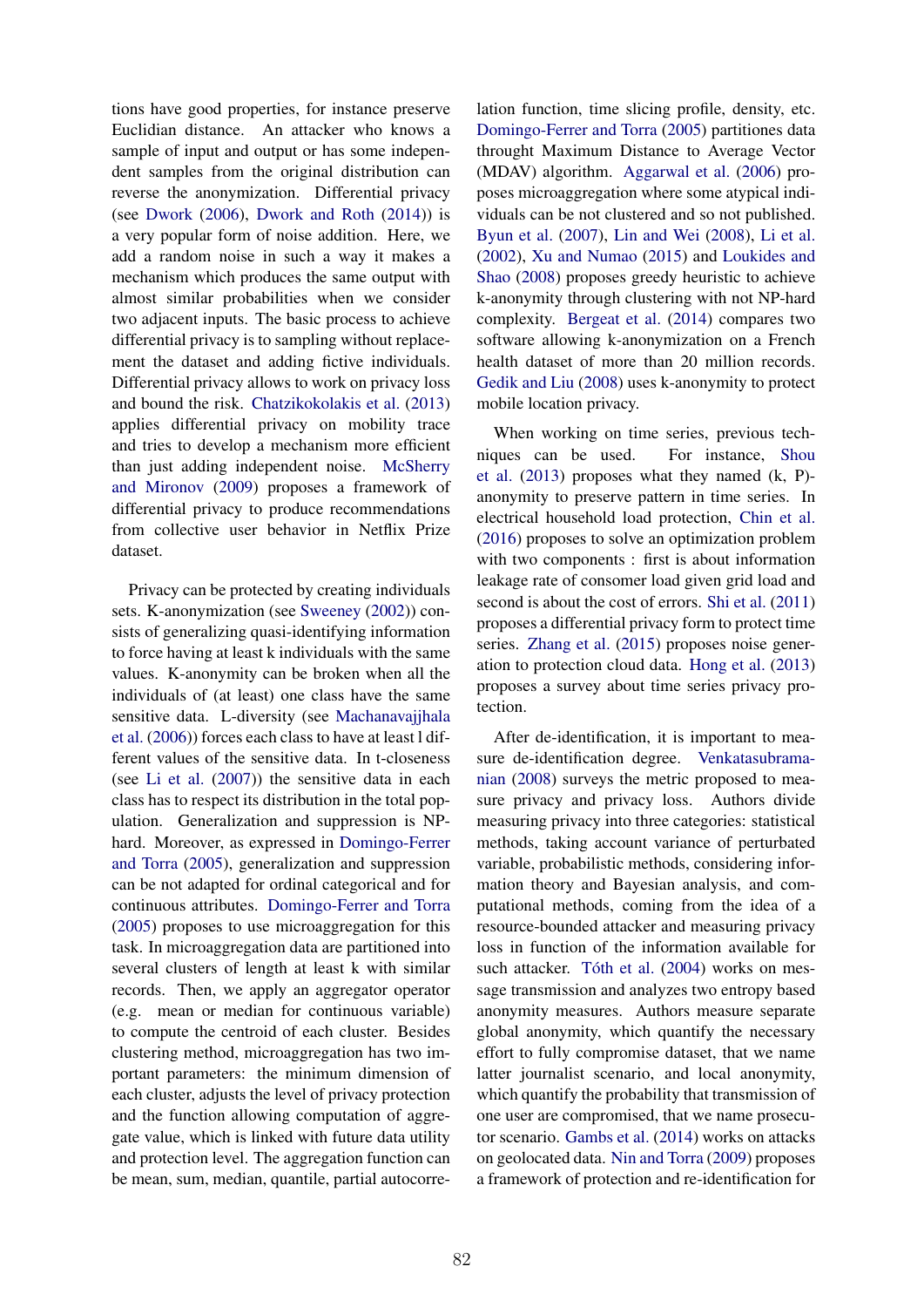tions have good properties, for instance preserve Euclidian distance. An attacker who knows a sample of input and output or has some independent samples from the original distribution can reverse the anonymization. Differential privacy (see Dwork (2006), Dwork and Roth (2014)) is a very popular form of noise addition. Here, we add a random noise in such a way it makes a mechanism which produces the same output with almost similar probabilities when we consider two adjacent inputs. The basic process to achieve differential privacy is to sampling without replacement the dataset and adding fictive individuals. Differential privacy allows to work on privacy loss and bound the risk. Chatzikokolakis et al. (2013) applies differential privacy on mobility trace and tries to develop a mechanism more efficient than just adding independent noise. McSherry and Mironov (2009) proposes a framework of differential privacy to produce recommendations from collective user behavior in Netflix Prize dataset.

Privacy can be protected by creating individuals sets. K-anonymization (see Sweeney (2002)) consists of generalizing quasi-identifying information to force having at least k individuals with the same values. K-anonymity can be broken when all the individuals of (at least) one class have the same sensitive data. L-diversity (see Machanavajjhala et al. (2006)) forces each class to have at least l different values of the sensitive data. In t-closeness (see Li et al. (2007)) the sensitive data in each class has to respect its distribution in the total population. Generalization and suppression is NPhard. Moreover, as expressed in Domingo-Ferrer and Torra (2005), generalization and suppression can be not adapted for ordinal categorical and for continuous attributes. Domingo-Ferrer and Torra (2005) proposes to use microaggregation for this task. In microaggregation data are partitioned into several clusters of length at least k with similar records. Then, we apply an aggregator operator (e.g. mean or median for continuous variable) to compute the centroid of each cluster. Besides clustering method, microaggregation has two important parameters: the minimum dimension of each cluster, adjusts the level of privacy protection and the function allowing computation of aggregate value, which is linked with future data utility and protection level. The aggregation function can be mean, sum, median, quantile, partial autocorre-

lation function, time slicing profile, density, etc. Domingo-Ferrer and Torra (2005) partitiones data throught Maximum Distance to Average Vector (MDAV) algorithm. Aggarwal et al. (2006) proposes microaggregation where some atypical individuals can be not clustered and so not published. Byun et al. (2007), Lin and Wei (2008), Li et al. (2002), Xu and Numao (2015) and Loukides and Shao (2008) proposes greedy heuristic to achieve k-anonymity through clustering with not NP-hard complexity. Bergeat et al. (2014) compares two software allowing k-anonymization on a French health dataset of more than 20 million records. Gedik and Liu (2008) uses k-anonymity to protect mobile location privacy.

When working on time series, previous techniques can be used. For instance, Shou et al. (2013) proposes what they named (k, P) anonymity to preserve pattern in time series. In electrical household load protection, Chin et al. (2016) proposes to solve an optimization problem with two components : first is about information leakage rate of consomer load given grid load and second is about the cost of errors. Shi et al. (2011) proposes a differential privacy form to protect time series. Zhang et al. (2015) proposes noise generation to protection cloud data. Hong et al. (2013) proposes a survey about time series privacy protection.

After de-identification, it is important to measure de-identification degree. Venkatasubramanian (2008) surveys the metric proposed to measure privacy and privacy loss. Authors divide measuring privacy into three categories: statistical methods, taking account variance of perturbated variable, probabilistic methods, considering information theory and Bayesian analysis, and computational methods, coming from the idea of a resource-bounded attacker and measuring privacy loss in function of the information available for such attacker. Tóth et al. (2004) works on message transmission and analyzes two entropy based anonymity measures. Authors measure separate global anonymity, which quantify the necessary effort to fully compromise dataset, that we name latter journalist scenario, and local anonymity, which quantify the probability that transmission of one user are compromised, that we name prosecutor scenario. Gambs et al. (2014) works on attacks on geolocated data. Nin and Torra (2009) proposes a framework of protection and re-identification for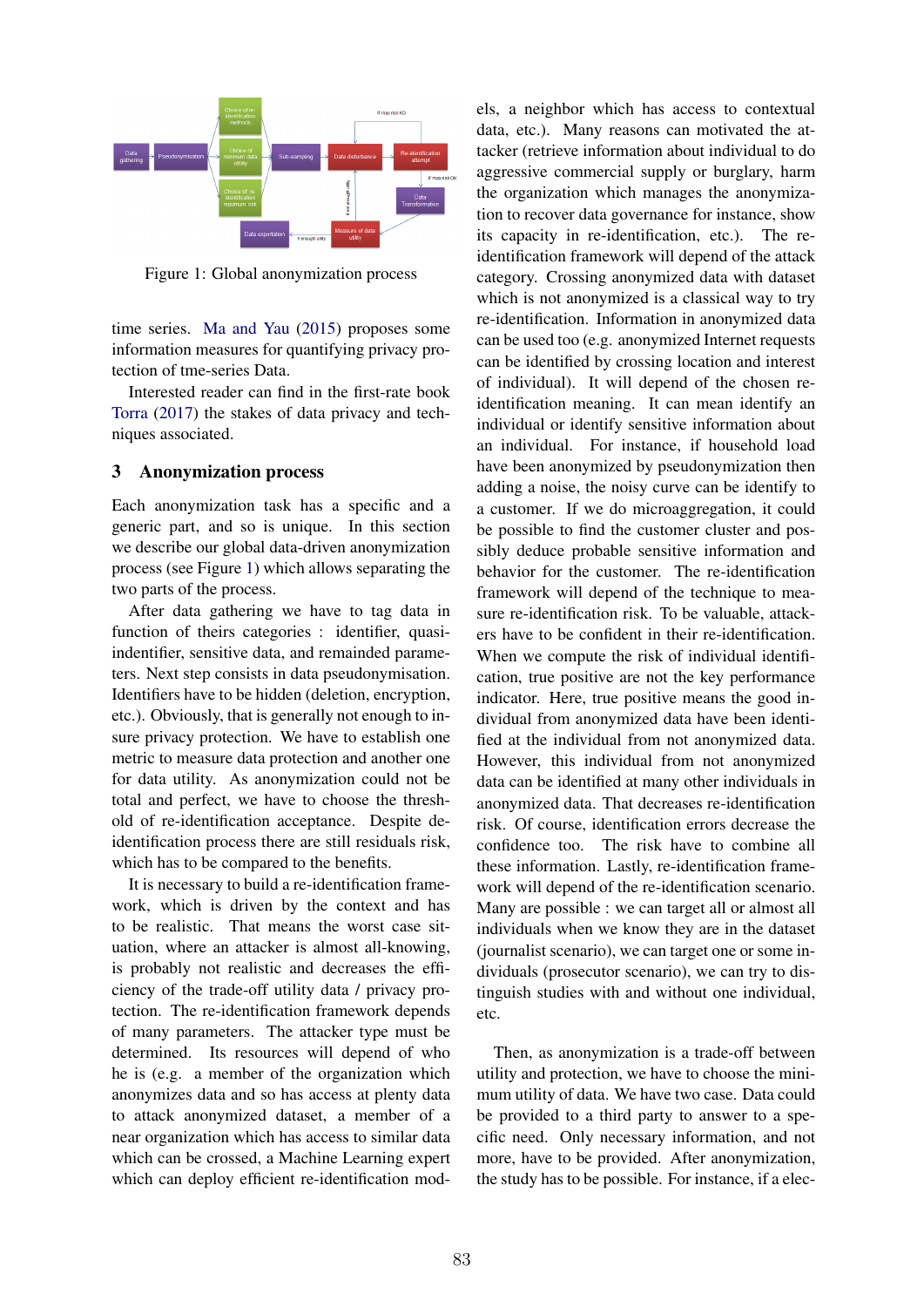

Figure 1: Global anonymization process

time series. Ma and Yau (2015) proposes some information measures for quantifying privacy protection of tme-series Data.

Interested reader can find in the first-rate book Torra (2017) the stakes of data privacy and techniques associated.

#### 3 Anonymization process

Each anonymization task has a specific and a generic part, and so is unique. In this section we describe our global data-driven anonymization process (see Figure 1) which allows separating the two parts of the process.

After data gathering we have to tag data in function of theirs categories : identifier, quasiindentifier, sensitive data, and remainded parameters. Next step consists in data pseudonymisation. Identifiers have to be hidden (deletion, encryption, etc.). Obviously, that is generally not enough to insure privacy protection. We have to establish one metric to measure data protection and another one for data utility. As anonymization could not be total and perfect, we have to choose the threshold of re-identification acceptance. Despite deidentification process there are still residuals risk, which has to be compared to the benefits.

It is necessary to build a re-identification framework, which is driven by the context and has to be realistic. That means the worst case situation, where an attacker is almost all-knowing, is probably not realistic and decreases the efficiency of the trade-off utility data / privacy protection. The re-identification framework depends of many parameters. The attacker type must be determined. Its resources will depend of who he is (e.g. a member of the organization which anonymizes data and so has access at plenty data to attack anonymized dataset, a member of a near organization which has access to similar data which can be crossed, a Machine Learning expert which can deploy efficient re-identification mod-

els, a neighbor which has access to contextual data, etc.). Many reasons can motivated the attacker (retrieve information about individual to do aggressive commercial supply or burglary, harm the organization which manages the anonymization to recover data governance for instance, show its capacity in re-identification, etc.). The reidentification framework will depend of the attack category. Crossing anonymized data with dataset which is not anonymized is a classical way to try re-identification. Information in anonymized data can be used too (e.g. anonymized Internet requests can be identified by crossing location and interest of individual). It will depend of the chosen reidentification meaning. It can mean identify an individual or identify sensitive information about an individual. For instance, if household load have been anonymized by pseudonymization then adding a noise, the noisy curve can be identify to a customer. If we do microaggregation, it could be possible to find the customer cluster and possibly deduce probable sensitive information and behavior for the customer. The re-identification framework will depend of the technique to measure re-identification risk. To be valuable, attackers have to be confident in their re-identification. When we compute the risk of individual identification, true positive are not the key performance indicator. Here, true positive means the good individual from anonymized data have been identified at the individual from not anonymized data. However, this individual from not anonymized data can be identified at many other individuals in anonymized data. That decreases re-identification risk. Of course, identification errors decrease the confidence too. The risk have to combine all these information. Lastly, re-identification framework will depend of the re-identification scenario. Many are possible : we can target all or almost all individuals when we know they are in the dataset (journalist scenario), we can target one or some individuals (prosecutor scenario), we can try to distinguish studies with and without one individual, etc.

Then, as anonymization is a trade-off between utility and protection, we have to choose the minimum utility of data. We have two case. Data could be provided to a third party to answer to a specific need. Only necessary information, and not more, have to be provided. After anonymization, the study has to be possible. For instance, if a elec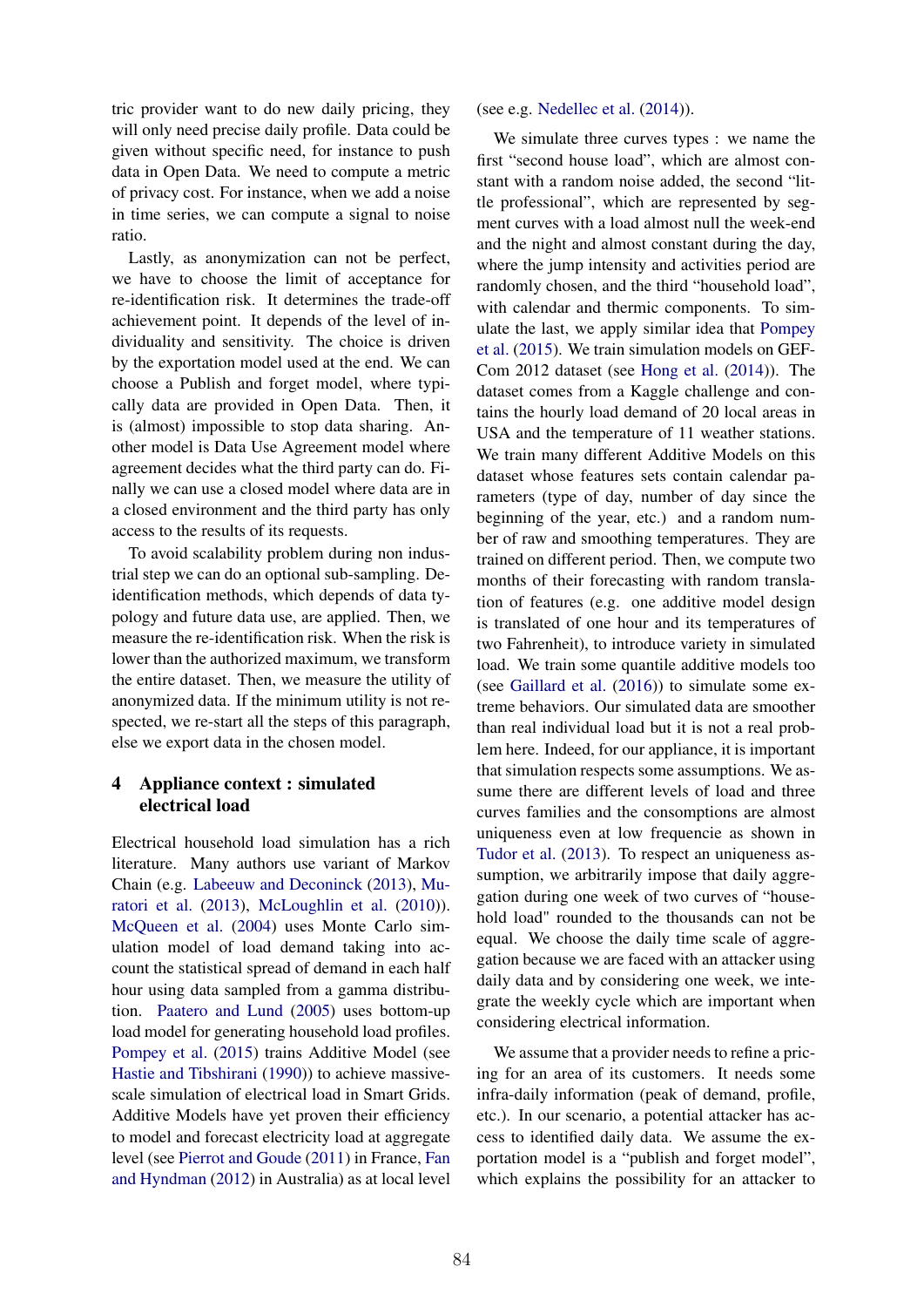tric provider want to do new daily pricing, they will only need precise daily profile. Data could be given without specific need, for instance to push data in Open Data. We need to compute a metric of privacy cost. For instance, when we add a noise in time series, we can compute a signal to noise ratio.

Lastly, as anonymization can not be perfect, we have to choose the limit of acceptance for re-identification risk. It determines the trade-off achievement point. It depends of the level of individuality and sensitivity. The choice is driven by the exportation model used at the end. We can choose a Publish and forget model, where typically data are provided in Open Data. Then, it is (almost) impossible to stop data sharing. Another model is Data Use Agreement model where agreement decides what the third party can do. Finally we can use a closed model where data are in a closed environment and the third party has only access to the results of its requests.

To avoid scalability problem during non industrial step we can do an optional sub-sampling. Deidentification methods, which depends of data typology and future data use, are applied. Then, we measure the re-identification risk. When the risk is lower than the authorized maximum, we transform the entire dataset. Then, we measure the utility of anonymized data. If the minimum utility is not respected, we re-start all the steps of this paragraph, else we export data in the chosen model.

## 4 Appliance context : simulated electrical load

Electrical household load simulation has a rich literature. Many authors use variant of Markov Chain (e.g. Labeeuw and Deconinck (2013), Muratori et al. (2013), McLoughlin et al. (2010)). McQueen et al. (2004) uses Monte Carlo simulation model of load demand taking into account the statistical spread of demand in each half hour using data sampled from a gamma distribution. Paatero and Lund (2005) uses bottom-up load model for generating household load profiles. Pompey et al. (2015) trains Additive Model (see Hastie and Tibshirani (1990)) to achieve massivescale simulation of electrical load in Smart Grids. Additive Models have yet proven their efficiency to model and forecast electricity load at aggregate level (see Pierrot and Goude (2011) in France, Fan and Hyndman (2012) in Australia) as at local level (see e.g. Nedellec et al. (2014)).

We simulate three curves types : we name the first "second house load", which are almost constant with a random noise added, the second "little professional", which are represented by segment curves with a load almost null the week-end and the night and almost constant during the day, where the jump intensity and activities period are randomly chosen, and the third "household load", with calendar and thermic components. To simulate the last, we apply similar idea that Pompey et al. (2015). We train simulation models on GEF-Com 2012 dataset (see Hong et al. (2014)). The dataset comes from a Kaggle challenge and contains the hourly load demand of 20 local areas in USA and the temperature of 11 weather stations. We train many different Additive Models on this dataset whose features sets contain calendar parameters (type of day, number of day since the beginning of the year, etc.) and a random number of raw and smoothing temperatures. They are trained on different period. Then, we compute two months of their forecasting with random translation of features (e.g. one additive model design is translated of one hour and its temperatures of two Fahrenheit), to introduce variety in simulated load. We train some quantile additive models too (see Gaillard et al. (2016)) to simulate some extreme behaviors. Our simulated data are smoother than real individual load but it is not a real problem here. Indeed, for our appliance, it is important that simulation respects some assumptions. We assume there are different levels of load and three curves families and the consomptions are almost uniqueness even at low frequencie as shown in Tudor et al. (2013). To respect an uniqueness assumption, we arbitrarily impose that daily aggregation during one week of two curves of "household load" rounded to the thousands can not be equal. We choose the daily time scale of aggregation because we are faced with an attacker using daily data and by considering one week, we integrate the weekly cycle which are important when considering electrical information.

We assume that a provider needs to refine a pricing for an area of its customers. It needs some infra-daily information (peak of demand, profile, etc.). In our scenario, a potential attacker has access to identified daily data. We assume the exportation model is a "publish and forget model", which explains the possibility for an attacker to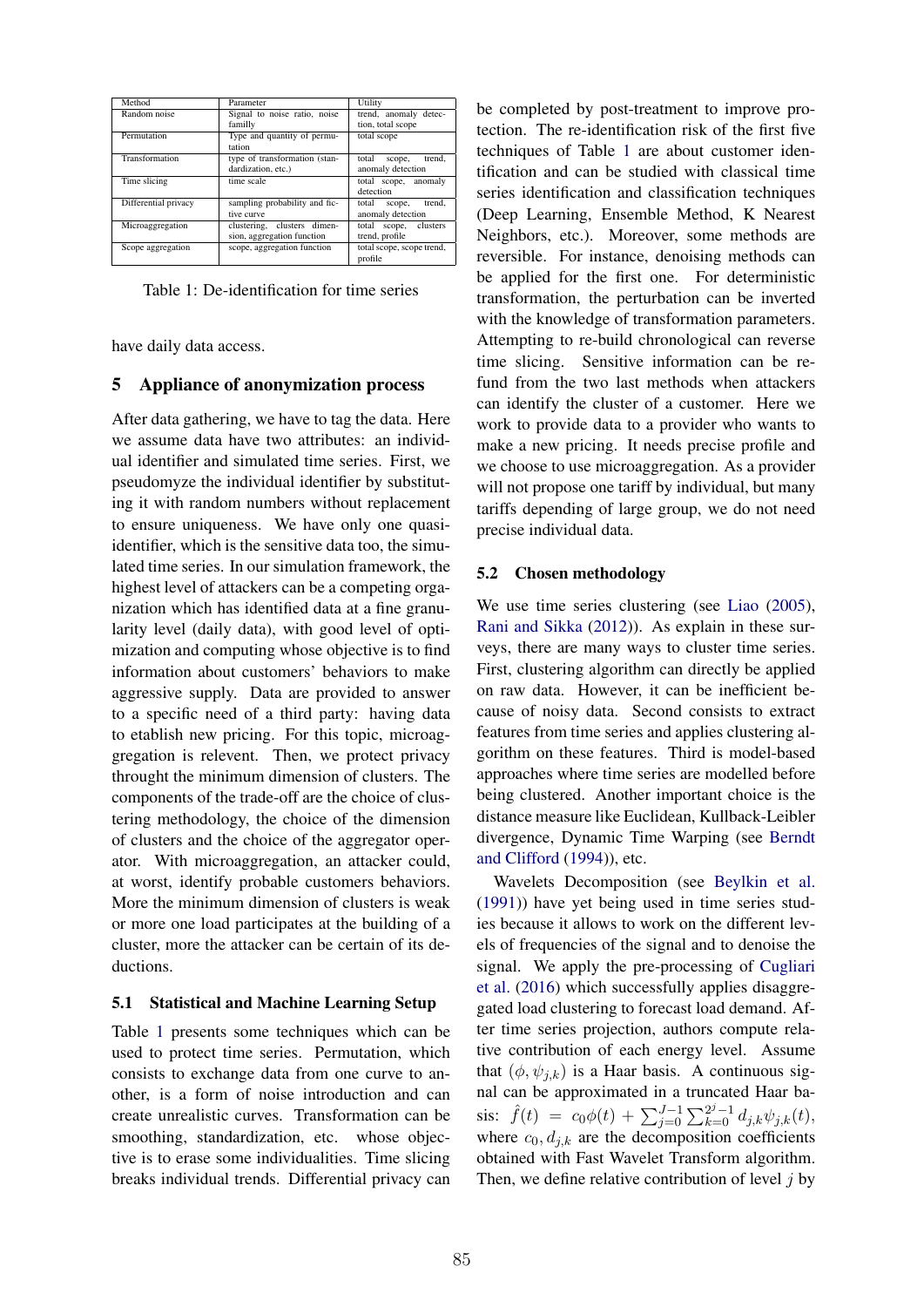| Method               | Parameter                     | Utility                   |
|----------------------|-------------------------------|---------------------------|
| Random noise         | Signal to noise ratio, noise  | trend, anomaly detec-     |
|                      | familly                       | tion, total scope         |
| Permutation          | Type and quantity of permu-   | total scope               |
|                      | tation                        |                           |
| Transformation       | type of transformation (stan- | total<br>trend.<br>scope, |
|                      | dardization, etc.)            | anomaly detection         |
| Time slicing         | time scale                    | total scope, anomaly      |
|                      |                               | detection                 |
| Differential privacy | sampling probability and fic- | trend.<br>total<br>scope, |
|                      | tive curve                    | anomaly detection         |
| Microaggregation     | clustering, clusters dimen-   | total scope, clusters     |
|                      | sion, aggregation function    | trend, profile            |
| Scope aggregation    | scope, aggregation function   | total scope, scope trend, |
|                      |                               | profile                   |

Table 1: De-identification for time series

have daily data access.

## 5 Appliance of anonymization process

After data gathering, we have to tag the data. Here we assume data have two attributes: an individual identifier and simulated time series. First, we pseudomyze the individual identifier by substituting it with random numbers without replacement to ensure uniqueness. We have only one quasiidentifier, which is the sensitive data too, the simulated time series. In our simulation framework, the highest level of attackers can be a competing organization which has identified data at a fine granularity level (daily data), with good level of optimization and computing whose objective is to find information about customers' behaviors to make aggressive supply. Data are provided to answer to a specific need of a third party: having data to etablish new pricing. For this topic, microaggregation is relevent. Then, we protect privacy throught the minimum dimension of clusters. The components of the trade-off are the choice of clustering methodology, the choice of the dimension of clusters and the choice of the aggregator operator. With microaggregation, an attacker could, at worst, identify probable customers behaviors. More the minimum dimension of clusters is weak or more one load participates at the building of a cluster, more the attacker can be certain of its deductions.

## 5.1 Statistical and Machine Learning Setup

Table 1 presents some techniques which can be used to protect time series. Permutation, which consists to exchange data from one curve to another, is a form of noise introduction and can create unrealistic curves. Transformation can be smoothing, standardization, etc. whose objective is to erase some individualities. Time slicing breaks individual trends. Differential privacy can

be completed by post-treatment to improve protection. The re-identification risk of the first five techniques of Table 1 are about customer identification and can be studied with classical time series identification and classification techniques (Deep Learning, Ensemble Method, K Nearest Neighbors, etc.). Moreover, some methods are reversible. For instance, denoising methods can be applied for the first one. For deterministic transformation, the perturbation can be inverted with the knowledge of transformation parameters. Attempting to re-build chronological can reverse time slicing. Sensitive information can be refund from the two last methods when attackers can identify the cluster of a customer. Here we work to provide data to a provider who wants to make a new pricing. It needs precise profile and we choose to use microaggregation. As a provider will not propose one tariff by individual, but many tariffs depending of large group, we do not need precise individual data.

#### 5.2 Chosen methodology

We use time series clustering (see Liao (2005), Rani and Sikka (2012)). As explain in these surveys, there are many ways to cluster time series. First, clustering algorithm can directly be applied on raw data. However, it can be inefficient because of noisy data. Second consists to extract features from time series and applies clustering algorithm on these features. Third is model-based approaches where time series are modelled before being clustered. Another important choice is the distance measure like Euclidean, Kullback-Leibler divergence, Dynamic Time Warping (see Berndt and Clifford (1994)), etc.

Wavelets Decomposition (see Beylkin et al. (1991)) have yet being used in time series studies because it allows to work on the different levels of frequencies of the signal and to denoise the signal. We apply the pre-processing of Cugliari et al. (2016) which successfully applies disaggregated load clustering to forecast load demand. After time series projection, authors compute relative contribution of each energy level. Assume that  $(\phi, \psi_{j,k})$  is a Haar basis. A continuous signal can be approximated in a truncated Haar basis:  $\hat{f}(t) = c_0\phi(t) + \sum_{j=0}^{J-1} \sum_{k=0}^{2^j-1} d_{j,k}\psi_{j,k}(t)$ , where  $c_0, d_{j,k}$  are the decomposition coefficients obtained with Fast Wavelet Transform algorithm. Then, we define relative contribution of level *j* by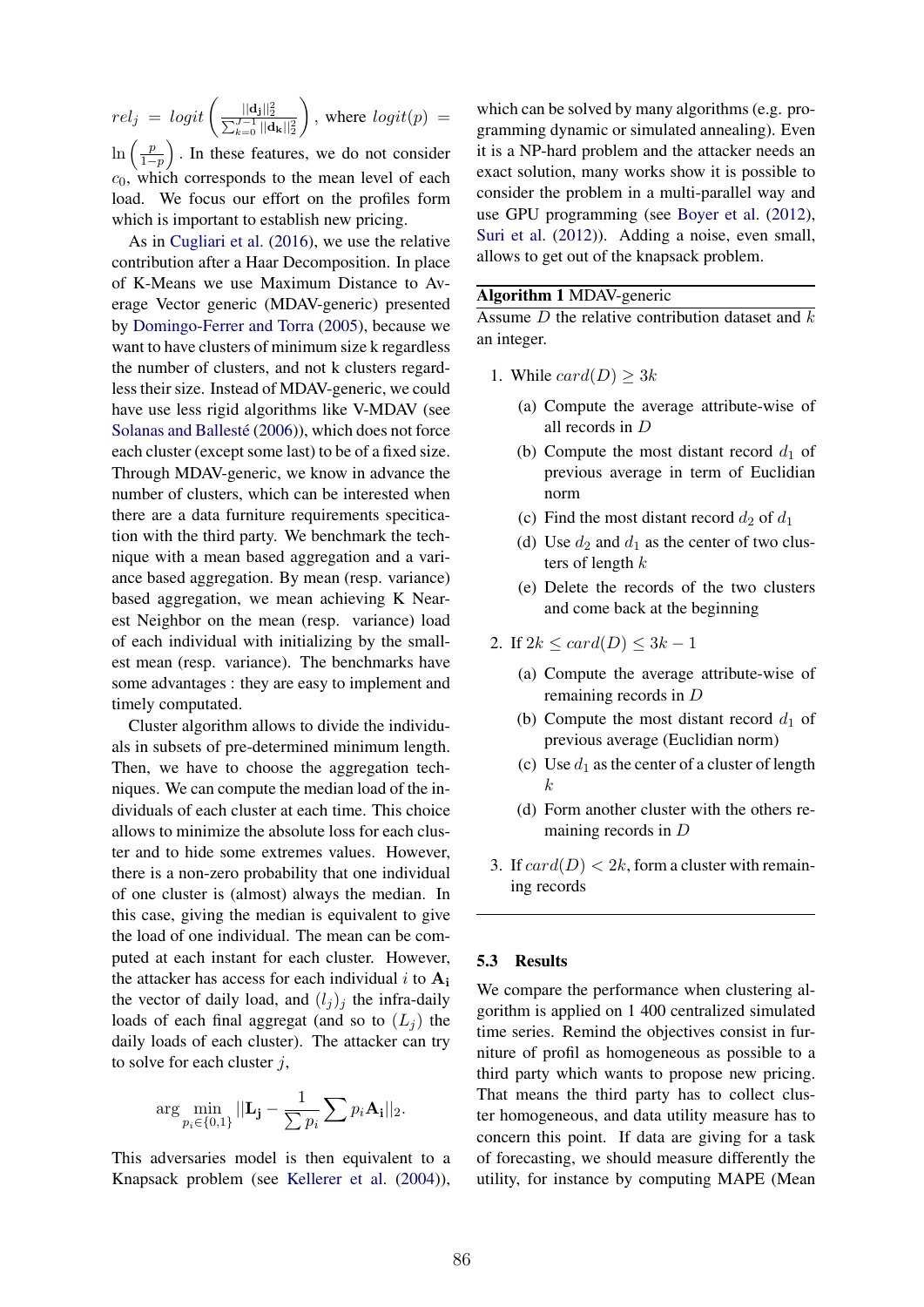$rel_j \, = \, logit\left( \frac{||\mathbf{d_j}||_2^2}{\sum_{k=0}^{J-1}||\mathbf{d_k}||_2^2} \right)$ ◆ *,* where  $logit(p) =$  $\ln\left(\frac{p}{1-p}\right)$ ⌘ *.* In these features, we do not consider *c*0, which corresponds to the mean level of each load. We focus our effort on the profiles form which is important to establish new pricing.

As in Cugliari et al. (2016), we use the relative contribution after a Haar Decomposition. In place of K-Means we use Maximum Distance to Average Vector generic (MDAV-generic) presented by Domingo-Ferrer and Torra (2005), because we want to have clusters of minimum size k regardless the number of clusters, and not k clusters regardless their size. Instead of MDAV-generic, we could have use less rigid algorithms like V-MDAV (see Solanas and Ballesté (2006)), which does not force each cluster (except some last) to be of a fixed size. Through MDAV-generic, we know in advance the number of clusters, which can be interested when there are a data furniture requirements specitication with the third party. We benchmark the technique with a mean based aggregation and a variance based aggregation. By mean (resp. variance) based aggregation, we mean achieving K Nearest Neighbor on the mean (resp. variance) load of each individual with initializing by the smallest mean (resp. variance). The benchmarks have some advantages : they are easy to implement and timely computated.

Cluster algorithm allows to divide the individuals in subsets of pre-determined minimum length. Then, we have to choose the aggregation techniques. We can compute the median load of the individuals of each cluster at each time. This choice allows to minimize the absolute loss for each cluster and to hide some extremes values. However, there is a non-zero probability that one individual of one cluster is (almost) always the median. In this case, giving the median is equivalent to give the load of one individual. The mean can be computed at each instant for each cluster. However, the attacker has access for each individual  $i$  to  $A_i$ the vector of daily load, and  $(l_j)_j$  the infra-daily loads of each final aggregat (and so to  $(L_i)$  the daily loads of each cluster). The attacker can try to solve for each cluster *j*,

$$
\arg\min_{p_i\in\{0,1\}}||\mathbf{L_j}-\frac{1}{\sum p_i}\sum p_i\mathbf{A_i}||_2.
$$

This adversaries model is then equivalent to a Knapsack problem (see Kellerer et al. (2004)),

which can be solved by many algorithms (e.g. programming dynamic or simulated annealing). Even it is a NP-hard problem and the attacker needs an exact solution, many works show it is possible to consider the problem in a multi-parallel way and use GPU programming (see Boyer et al. (2012), Suri et al. (2012)). Adding a noise, even small, allows to get out of the knapsack problem.

#### Algorithm 1 MDAV-generic

Assume *D* the relative contribution dataset and *k* an integer.

- 1. While  $card(D) \geq 3k$ 
	- (a) Compute the average attribute-wise of all records in *D*
	- (b) Compute the most distant record  $d_1$  of previous average in term of Euclidian norm
	- (c) Find the most distant record  $d_2$  of  $d_1$
	- (d) Use  $d_2$  and  $d_1$  as the center of two clusters of length *k*
	- (e) Delete the records of the two clusters and come back at the beginning
- 2. If  $2k \leq card(D) \leq 3k 1$ 
	- (a) Compute the average attribute-wise of remaining records in *D*
	- (b) Compute the most distant record  $d_1$  of previous average (Euclidian norm)
	- (c) Use  $d_1$  as the center of a cluster of length *k*
	- (d) Form another cluster with the others remaining records in *D*
- 3. If  $card(D) < 2k$ , form a cluster with remaining records

#### 5.3 Results

We compare the performance when clustering algorithm is applied on 1 400 centralized simulated time series. Remind the objectives consist in furniture of profil as homogeneous as possible to a third party which wants to propose new pricing. That means the third party has to collect cluster homogeneous, and data utility measure has to concern this point. If data are giving for a task of forecasting, we should measure differently the utility, for instance by computing MAPE (Mean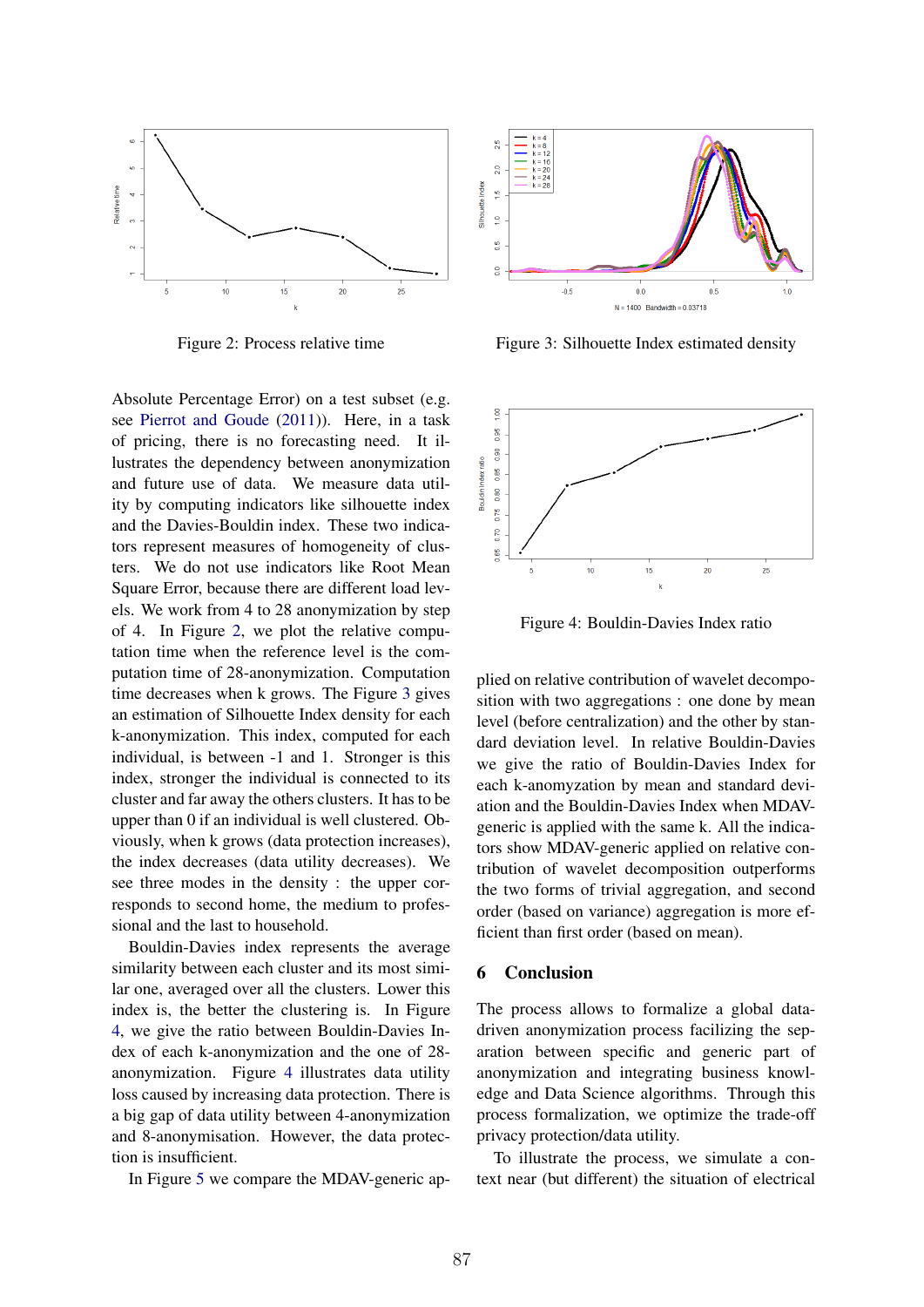

Figure 2: Process relative time

Absolute Percentage Error) on a test subset (e.g. see Pierrot and Goude (2011)). Here, in a task of pricing, there is no forecasting need. It illustrates the dependency between anonymization and future use of data. We measure data utility by computing indicators like silhouette index and the Davies-Bouldin index. These two indicators represent measures of homogeneity of clusters. We do not use indicators like Root Mean Square Error, because there are different load levels. We work from 4 to 28 anonymization by step of 4. In Figure 2, we plot the relative computation time when the reference level is the computation time of 28-anonymization. Computation time decreases when k grows. The Figure 3 gives an estimation of Silhouette Index density for each k-anonymization. This index, computed for each individual, is between -1 and 1. Stronger is this index, stronger the individual is connected to its cluster and far away the others clusters. It has to be upper than 0 if an individual is well clustered. Obviously, when k grows (data protection increases), the index decreases (data utility decreases). We see three modes in the density : the upper corresponds to second home, the medium to professional and the last to household.

Bouldin-Davies index represents the average similarity between each cluster and its most similar one, averaged over all the clusters. Lower this index is, the better the clustering is. In Figure 4, we give the ratio between Bouldin-Davies Index of each k-anonymization and the one of 28 anonymization. Figure 4 illustrates data utility loss caused by increasing data protection. There is a big gap of data utility between 4-anonymization and 8-anonymisation. However, the data protection is insufficient.

In Figure 5 we compare the MDAV-generic ap-



Figure 3: Silhouette Index estimated density



Figure 4: Bouldin-Davies Index ratio

plied on relative contribution of wavelet decomposition with two aggregations : one done by mean level (before centralization) and the other by standard deviation level. In relative Bouldin-Davies we give the ratio of Bouldin-Davies Index for each k-anomyzation by mean and standard deviation and the Bouldin-Davies Index when MDAVgeneric is applied with the same k. All the indicators show MDAV-generic applied on relative contribution of wavelet decomposition outperforms the two forms of trivial aggregation, and second order (based on variance) aggregation is more efficient than first order (based on mean).

#### 6 Conclusion

The process allows to formalize a global datadriven anonymization process facilizing the separation between specific and generic part of anonymization and integrating business knowledge and Data Science algorithms. Through this process formalization, we optimize the trade-off privacy protection/data utility.

To illustrate the process, we simulate a context near (but different) the situation of electrical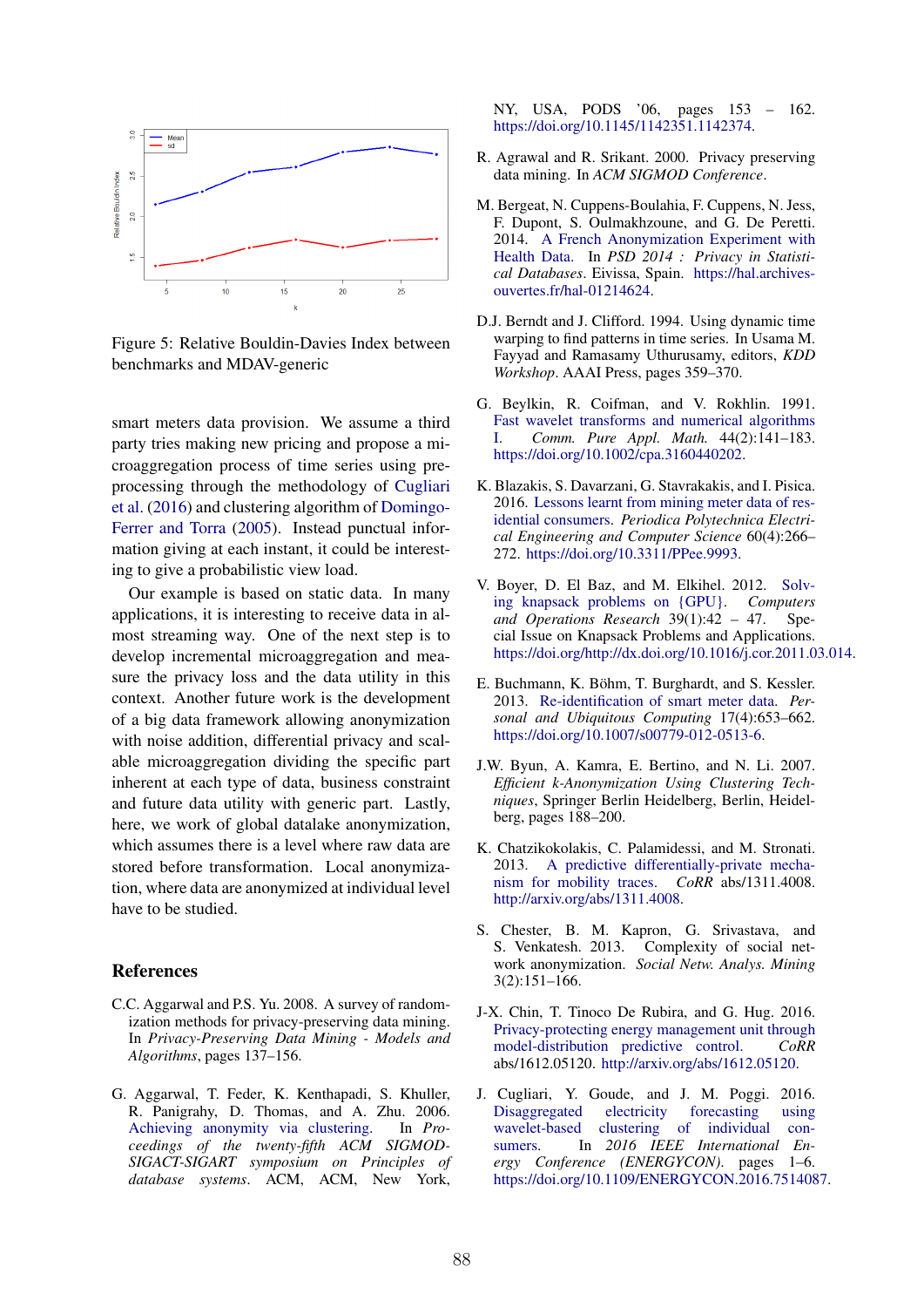

Figure 5: Relative Bouldin-Davies Index between benchmarks and MDAV-generic

smart meters data provision. We assume a third party tries making new pricing and propose a microaggregation process of time series using preprocessing through the methodology of Cugliari et al. (2016) and clustering algorithm of Domingo-Ferrer and Torra (2005). Instead punctual information giving at each instant, it could be interesting to give a probabilistic view load.

Our example is based on static data. In many applications, it is interesting to receive data in almost streaming way. One of the next step is to develop incremental microaggregation and measure the privacy loss and the data utility in this context. Another future work is the development of a big data framework allowing anonymization with noise addition, differential privacy and scalable microaggregation dividing the specific part inherent at each type of data, business constraint and future data utility with generic part. Lastly, here, we work of global datalake anonymization, which assumes there is a level where raw data are stored before transformation. Local anonymization, where data are anonymized at individual level have to be studied.

## References

- C.C. Aggarwal and P.S. Yu. 2008. A survey of randomization methods for privacy-preserving data mining. In *Privacy-Preserving Data Mining - Models and Algorithms*, pages 137–156.
- G. Aggarwal, T. Feder, K. Kenthapadi, S. Khuller, R. Panigrahy, D. Thomas, and A. Zhu. 2006. Achieving anonymity via clustering. In *Proceedings of the twenty-fifth ACM SIGMOD-SIGACT-SIGART symposium on Principles of database systems*. ACM, ACM, New York,

NY, USA, PODS '06, pages 153 – 162. https://doi.org/10.1145/1142351.1142374.

- R. Agrawal and R. Srikant. 2000. Privacy preserving data mining. In *ACM SIGMOD Conference*.
- M. Bergeat, N. Cuppens-Boulahia, F. Cuppens, N. Jess, F. Dupont, S. Oulmakhzoune, and G. De Peretti. 2014. A French Anonymization Experiment with Health Data. In *PSD 2014 : Privacy in Statistical Databases*. Eivissa, Spain. https://hal.archivesouvertes.fr/hal-01214624.
- D.J. Berndt and J. Clifford. 1994. Using dynamic time warping to find patterns in time series. In Usama M. Fayyad and Ramasamy Uthurusamy, editors, *KDD Workshop*. AAAI Press, pages 359–370.
- G. Beylkin, R. Coifman, and V. Rokhlin. 1991. Fast wavelet transforms and numerical algorithms I. *Comm. Pure Appl. Math.* 44(2):141–183. https://doi.org/10.1002/cpa.3160440202.
- K. Blazakis, S. Davarzani, G. Stavrakakis, and I. Pisica. 2016. Lessons learnt from mining meter data of residential consumers. *Periodica Polytechnica Electrical Engineering and Computer Science* 60(4):266– 272. https://doi.org/10.3311/PPee.9993.
- V. Boyer, D. El Baz, and M. Elkihel. 2012. Solving knapsack problems on {GPU}. *Computers and Operations Research* 39(1):42 – 47. Special Issue on Knapsack Problems and Applications. https://doi.org/http://dx.doi.org/10.1016/j.cor.2011.03.014.
- E. Buchmann, K. Böhm, T. Burghardt, and S. Kessler. 2013. Re-identification of smart meter data. *Personal and Ubiquitous Computing* 17(4):653–662. https://doi.org/10.1007/s00779-012-0513-6.
- J.W. Byun, A. Kamra, E. Bertino, and N. Li. 2007. *Efficient k-Anonymization Using Clustering Techniques*, Springer Berlin Heidelberg, Berlin, Heidelberg, pages 188–200.
- K. Chatzikokolakis, C. Palamidessi, and M. Stronati. 2013. A predictive differentially-private mechanism for mobility traces. *CoRR* abs/1311.4008. http://arxiv.org/abs/1311.4008.
- S. Chester, B. M. Kapron, G. Srivastava, and S. Venkatesh. 2013. Complexity of social network anonymization. *Social Netw. Analys. Mining* 3(2):151–166.
- J-X. Chin, T. Tinoco De Rubira, and G. Hug. 2016. Privacy-protecting energy management unit through model-distribution predictive control. *CoRR* abs/1612.05120. http://arxiv.org/abs/1612.05120.
- J. Cugliari, Y. Goude, and J. M. Poggi. 2016. Disaggregated electricity forecasting using wavelet-based clustering of individual consumers. In *2016 IEEE International Energy Conference (ENERGYCON)*. pages 1–6. https://doi.org/10.1109/ENERGYCON.2016.7514087.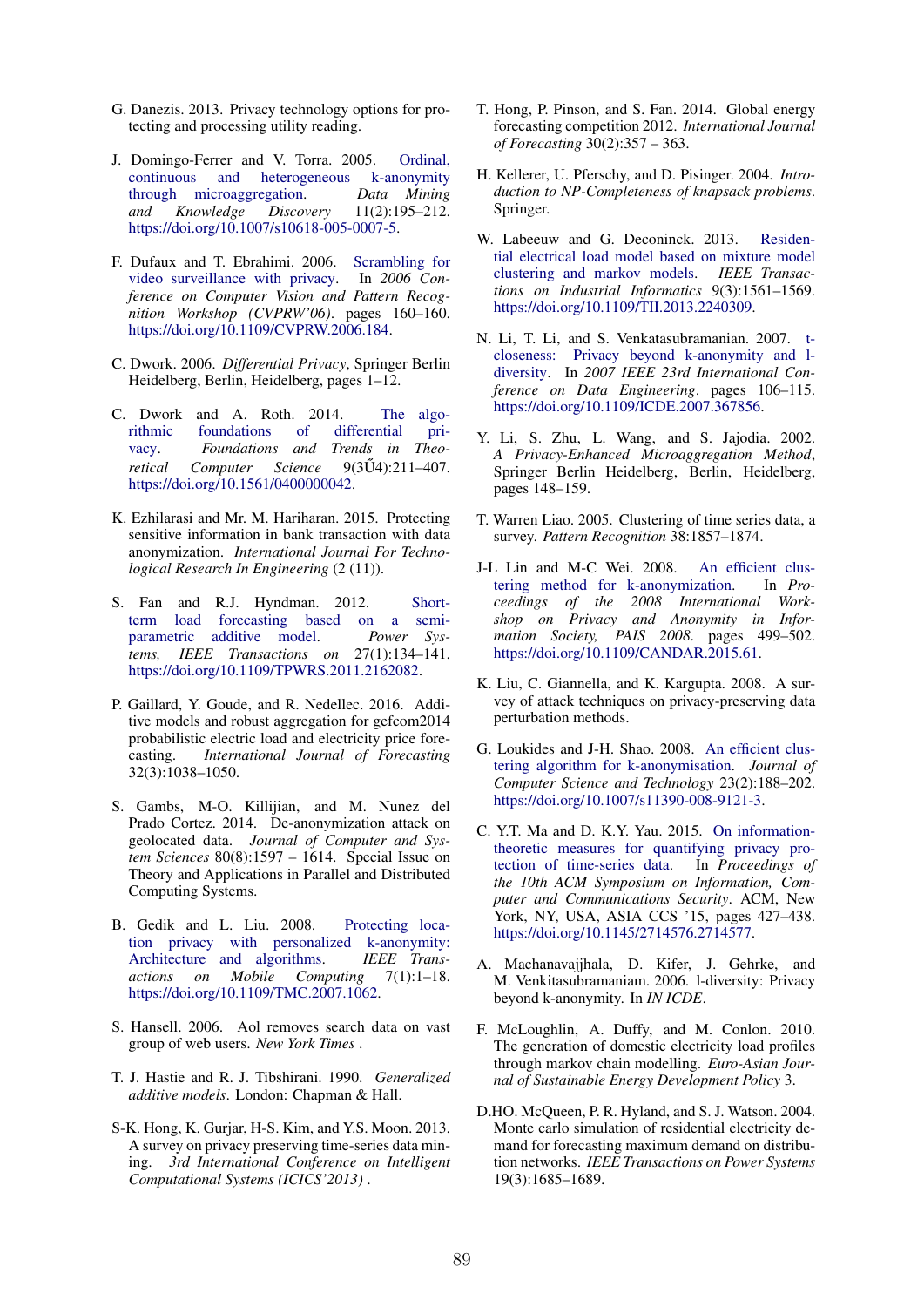- G. Danezis. 2013. Privacy technology options for protecting and processing utility reading.
- J. Domingo-Ferrer and V. Torra. 2005. Ordinal, continuous and heterogeneous k-anonymity through microaggregation. *Data Mining and Knowledge Discovery* 11(2):195–212. https://doi.org/10.1007/s10618-005-0007-5.
- F. Dufaux and T. Ebrahimi. 2006. Scrambling for video surveillance with privacy. In *2006 Conference on Computer Vision and Pattern Recognition Workshop (CVPRW'06)*. pages 160–160. https://doi.org/10.1109/CVPRW.2006.184.
- C. Dwork. 2006. *Differential Privacy*, Springer Berlin Heidelberg, Berlin, Heidelberg, pages 1–12.
- C. Dwork and A. Roth. 2014. The algorithmic foundations of differential privacy. *Foundations and Trends in Theoretical Computer Science 9(3U)*:211-407. https://doi.org/10.1561/0400000042.
- K. Ezhilarasi and Mr. M. Hariharan. 2015. Protecting sensitive information in bank transaction with data anonymization. *International Journal For Technological Research In Engineering* (2 (11)).
- S. Fan and R.J. Hyndman. 2012. Shortterm load forecasting based on a semi-<br>parametric additive model. Power Sysadditive model. Power Sys*tems, IEEE Transactions on* 27(1):134–141. https://doi.org/10.1109/TPWRS.2011.2162082.
- P. Gaillard, Y. Goude, and R. Nedellec. 2016. Additive models and robust aggregation for gefcom2014 probabilistic electric load and electricity price forecasting. *International Journal of Forecasting* 32(3):1038–1050.
- S. Gambs, M-O. Killijian, and M. Nunez del Prado Cortez. 2014. De-anonymization attack on geolocated data. *Journal of Computer and System Sciences* 80(8):1597 – 1614. Special Issue on Theory and Applications in Parallel and Distributed Computing Systems.
- B. Gedik and L. Liu. 2008. Protecting location privacy with personalized k-anonymity:<br>Architecture and algorithms. IEEE Trans-Architecture and algorithms. *actions on Mobile Computing* 7(1):1–18. https://doi.org/10.1109/TMC.2007.1062.
- S. Hansell. 2006. Aol removes search data on vast group of web users. *New York Times* .
- T. J. Hastie and R. J. Tibshirani. 1990. *Generalized additive models*. London: Chapman & Hall.
- S-K. Hong, K. Gurjar, H-S. Kim, and Y.S. Moon. 2013. A survey on privacy preserving time-series data mining. *3rd International Conference on Intelligent Computational Systems (ICICS'2013)* .
- T. Hong, P. Pinson, and S. Fan. 2014. Global energy forecasting competition 2012. *International Journal of Forecasting* 30(2):357 – 363.
- H. Kellerer, U. Pferschy, and D. Pisinger. 2004. *Introduction to NP-Completeness of knapsack problems*. Springer.
- W. Labeeuw and G. Deconinck. 2013. Residential electrical load model based on mixture model clustering and markov models. *IEEE Transactions on Industrial Informatics* 9(3):1561–1569. https://doi.org/10.1109/TII.2013.2240309.
- N. Li, T. Li, and S. Venkatasubramanian. 2007. tcloseness: Privacy beyond k-anonymity and ldiversity. In *2007 IEEE 23rd International Conference on Data Engineering*. pages 106–115. https://doi.org/10.1109/ICDE.2007.367856.
- Y. Li, S. Zhu, L. Wang, and S. Jajodia. 2002. *A Privacy-Enhanced Microaggregation Method*, Springer Berlin Heidelberg, Berlin, Heidelberg, pages 148–159.
- T. Warren Liao. 2005. Clustering of time series data, a survey. *Pattern Recognition* 38:1857–1874.
- J-L Lin and M-C Wei. 2008. An efficient clustering method for k-anonymization. In *Proceedings of the 2008 International Workshop on Privacy and Anonymity in Information Society, PAIS 2008*. pages 499–502. https://doi.org/10.1109/CANDAR.2015.61.
- K. Liu, C. Giannella, and K. Kargupta. 2008. A survey of attack techniques on privacy-preserving data perturbation methods.
- G. Loukides and J-H. Shao. 2008. An efficient clustering algorithm for k-anonymisation. *Journal of Computer Science and Technology* 23(2):188–202. https://doi.org/10.1007/s11390-008-9121-3.
- C. Y.T. Ma and D. K.Y. Yau. 2015. On informationtheoretic measures for quantifying privacy protection of time-series data. In *Proceedings of the 10th ACM Symposium on Information, Computer and Communications Security*. ACM, New York, NY, USA, ASIA CCS '15, pages 427–438. https://doi.org/10.1145/2714576.2714577.
- A. Machanavajjhala, D. Kifer, J. Gehrke, and M. Venkitasubramaniam. 2006. l-diversity: Privacy beyond k-anonymity. In *IN ICDE*.
- F. McLoughlin, A. Duffy, and M. Conlon. 2010. The generation of domestic electricity load profiles through markov chain modelling. *Euro-Asian Journal of Sustainable Energy Development Policy* 3.
- D.HO. McQueen, P. R. Hyland, and S. J. Watson. 2004. Monte carlo simulation of residential electricity demand for forecasting maximum demand on distribution networks. *IEEE Transactions on Power Systems* 19(3):1685–1689.